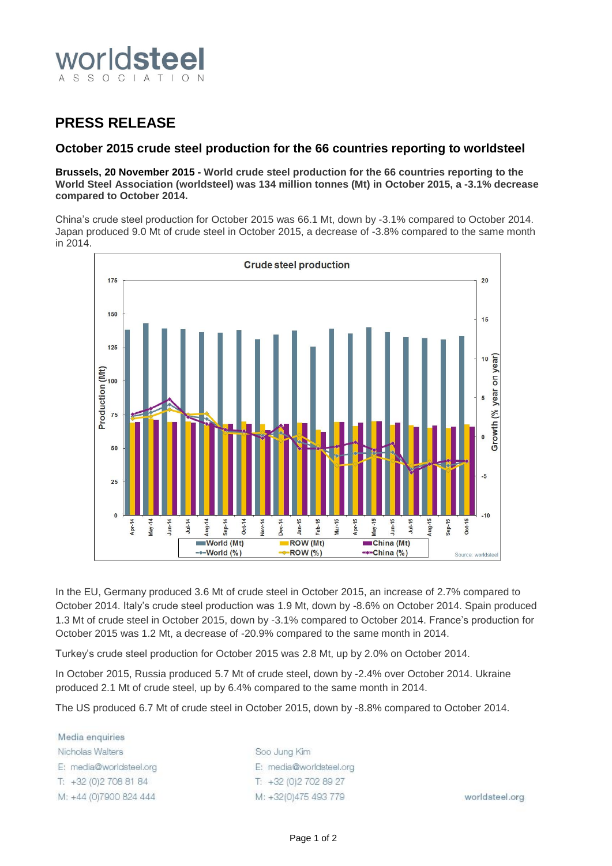

## **PRESS RELEASE**

## **October 2015 crude steel production for the 66 countries reporting to worldsteel**

**Brussels, 20 November 2015 - World crude steel production for the 66 countries reporting to the World Steel Association (worldsteel) was 134 million tonnes (Mt) in October 2015, a -3.1% decrease compared to October 2014.**

China's crude steel production for October 2015 was 66.1 Mt, down by -3.1% compared to October 2014. Japan produced 9.0 Mt of crude steel in October 2015, a decrease of -3.8% compared to the same month in 2014.



In the EU, Germany produced 3.6 Mt of crude steel in October 2015, an increase of 2.7% compared to October 2014. Italy's crude steel production was 1.9 Mt, down by -8.6% on October 2014. Spain produced 1.3 Mt of crude steel in October 2015, down by -3.1% compared to October 2014. France's production for October 2015 was 1.2 Mt, a decrease of -20.9% compared to the same month in 2014.

Turkey's crude steel production for October 2015 was 2.8 Mt, up by 2.0% on October 2014.

In October 2015, Russia produced 5.7 Mt of crude steel, down by -2.4% over October 2014. Ukraine produced 2.1 Mt of crude steel, up by 6.4% compared to the same month in 2014.

The US produced 6.7 Mt of crude steel in October 2015, down by -8.8% compared to October 2014.

Media enquiries Nicholas Walters E: media@worldsteel.org T: +32 (0) 2 708 81 84 M: +44 (0)7900 824 444

Soo Jung Kim E: media@worldsteel.org T: +32 (0) 2 70 2 89 27 M: +32(0)475 493 779

worldsteel.org